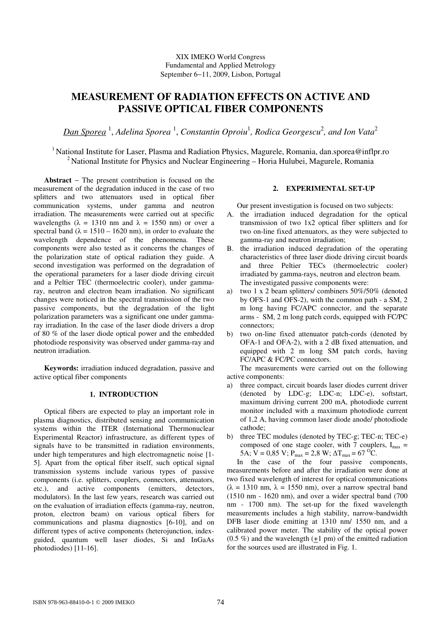# XIX IMEKO World Congress Fundamental and Applied Metrology September 6−11, 2009, Lisbon, Portugal

# **MEASUREMENT OF RADIATION EFFECTS ON ACTIVE AND PASSIVE OPTICAL FIBER COMPONENTS**

*Dan Sporea* <sup>1</sup> , *Adelina Sporea* <sup>1</sup> , *Constantin Oproiu*<sup>1</sup> *, Rodica Georgescu*<sup>2</sup> *, and Ion Vata*<sup>2</sup>

<sup>1</sup> National Institute for Laser, Plasma and Radiation Physics, Magurele, Romania, dan.sporea@inflpr.ro <sup>2</sup> National Institute for Physics and Nuclear Engineering – Horia Hulubei, Magurele, Romania

**Abstract** − The present contribution is focused on the measurement of the degradation induced in the case of two splitters and two attenuators used in optical fiber communication systems, under gamma and neutron irradiation. The measurements were carried out at specific wavelengths ( $\lambda = 1310$  nm and  $\lambda = 1550$  nm) or over a spectral band ( $\lambda = 1510 - 1620$  nm), in order to evaluate the wavelength dependence of the phenomena. These components were also tested as it concerns the changes of the polarization state of optical radiation they guide. A second investigation was performed on the degradation of the operational parameters for a laser diode driving circuit and a Peltier TEC (thermoelectric cooler), under gammaray, neutron and electron beam irradiation. No significant changes were noticed in the spectral transmission of the two passive components, but the degradation of the light polarization parameters was a significant one under gammaray irradiation. In the case of the laser diode drivers a drop of 80 % of the laser diode optical power and the embedded photodiode responsivity was observed under gamma-ray and neutron irradiation.

**Keywords:** irradiation induced degradation, passive and active optical fiber components

## **1. INTRODUCTION**

Optical fibers are expected to play an important role in plasma diagnostics, distributed sensing and communication systems within the ITER (International Thermonuclear Experimental Reactor) infrastructure, as different types of signals have to be transmitted in radiation environments, under high temperatures and high electromagnetic noise [1- 5]. Apart from the optical fiber itself, such optical signal transmission systems include various types of passive components (i.e. splitters, couplers, connectors, attenuators, etc.), and active components (emitters, detectors, modulators). In the last few years, research was carried out on the evaluation of irradiation effects (gamma-ray, neutron, proton, electron beam) on various optical fibers for communications and plasma diagnostics [6-10], and on different types of active components (heterojunction, indexguided, quantum well laser diodes, Si and InGaAs photodiodes) [11-16].

# **2. EXPERIMENTAL SET-UP**

Our present investigation is focused on two subjects:

- A. the irradiation induced degradation for the optical transmission of two 1x2 optical fiber splitters and for two on-line fixed attenuators, as they were subjected to gamma-ray and neutron irradiation;
- B. the irradiation induced degradation of the operating characteristics of three laser diode driving circuit boards and three Peltier TECs (thermoelectric cooler) irradiated by gamma-rays, neutron and electron beam. The investigated passive components were:
- a) two 1 x 2 beam splitters/ combiners 50%/50% (denoted by OFS-1 and OFS-2), with the common path - a SM, 2 m long having FC/APC connector, and the separate arms - SM, 2 m long patch cords, equipped with FC/PC connectors;
- b) two on-line fixed attenuator patch-cords (denoted by OFA-1 and OFA-2), with a 2 dB fixed attenuation, and equipped with 2 m long SM patch cords, having FC/APC & FC/PC connectors.

The measurements were carried out on the following active components:

- a) three compact, circuit boards laser diodes current driver (denoted by LDC-g; LDC-n; LDC-e), softstart, maximum driving current 200 mA, photodiode current monitor included with a maximum photodiode current of 1,2 A, having common laser diode anode/ photodiode cathode;
- b) three TEC modules (denoted by TEC-g; TEC-n; TEC-e) composed of one stage cooler, with 7 couplers,  $I_{\text{max}} =$ 5A;  $V = 0.85$  V;  $P_{max} = 2.8$  W;  $\Delta T_{max} = 67$  <sup>O</sup>C.

In the case of the four passive components, measurements before and after the irradiation were done at two fixed wavelength of interest for optical communications  $(\lambda = 1310 \text{ nm}, \lambda = 1550 \text{ nm})$ , over a narrow spectral band (1510 nm - 1620 nm), and over a wider spectral band (700 nm - 1700 nm). The set-up for the fixed wavelength measurements includes a high stability, narrow-bandwidth DFB laser diode emitting at 1310 nm/ 1550 nm, and a calibrated power meter. The stability of the optical power (0.5 %) and the wavelength  $(\pm 1 \text{ pm})$  of the emitted radiation for the sources used are illustrated in Fig. 1.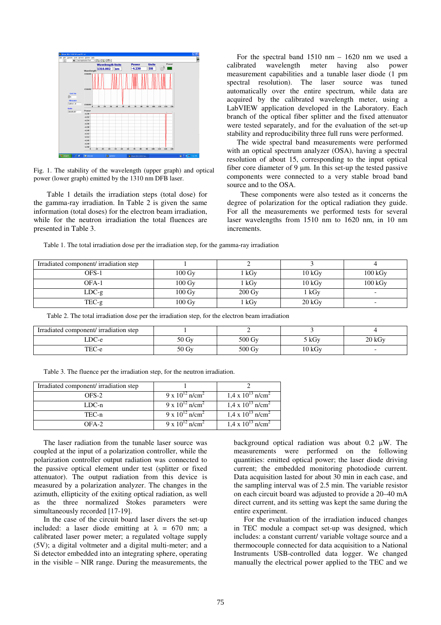

Fig. 1. The stability of the wavelength (upper graph) and optical power (lower graph) emitted by the 1310 nm DFB laser.

Table 1 details the irradiation steps (total dose) for the gamma-ray irradiation. In Table 2 is given the same information (total doses) for the electron beam irradiation, while for the neutron irradiation the total fluences are presented in Table 3.

For the spectral band 1510 nm – 1620 nm we used a calibrated wavelength meter having also power measurement capabilities and a tunable laser diode (1 pm spectral resolution). The laser source was tuned automatically over the entire spectrum, while data are acquired by the calibrated wavelength meter, using a LabVIEW application developed in the Laboratory. Each branch of the optical fiber splitter and the fixed attenuator were tested separately, and for the evaluation of the set-up stability and reproducibility three full runs were performed.

The wide spectral band measurements were performed with an optical spectrum analyzer (OSA), having a spectral resolution of about 15, corresponding to the input optical fiber core diameter of 9 µm. In this set-up the tested passive components were connected to a very stable broad band source and to the OSA.

These components were also tested as it concerns the degree of polarization for the optical radiation they guide. For all the measurements we performed tests for several laser wavelengths from 1510 nm to 1620 nm, in 10 nm increments.

Table 1. The total irradiation dose per the irradiation step, for the gamma-ray irradiation

| Irradiated component/ irradiation step |                     |                     |                  |                     |
|----------------------------------------|---------------------|---------------------|------------------|---------------------|
| OFS-1                                  | $100 \,\mathrm{Gy}$ | 1 kGy               | 10 kGv           | $100 \text{ kGy}$   |
| OFA-1                                  | $100 \,\mathrm{Gy}$ | 1 kGy               | 10 kGy           | $100\,\mathrm{kGy}$ |
| $LDC-g$                                | $100 \,\mathrm{Gy}$ | $200 \,\mathrm{Gy}$ | 1 kGy            |                     |
| $TEC-g$                                | $100 \,\mathrm{Gy}$ | $1$ kGy             | $20 \text{ kGy}$ |                     |

Table 2. The total irradiation dose per the irradiation step, for the electron beam irradiation

| Irradiated component/ irradiation step |                    |                     |        |        |
|----------------------------------------|--------------------|---------------------|--------|--------|
| LDC-e                                  | $50 \,\mathrm{Gy}$ | $500 \,\mathrm{Gy}$ | kGv    | 20 kGv |
| TEC-e                                  | $50 \,\mathrm{Gy}$ | 500 Gy              | 10 kGv |        |

Table 3. The fluence per the irradiation step, for the neutron irradiation.

| Irradiated component/ irradiation step |                                 |                                        |
|----------------------------------------|---------------------------------|----------------------------------------|
| OFS-2                                  | 9 x $10^{12}$ n/cm <sup>2</sup> | $1.4 \times 10^{13}$ n/cm <sup>2</sup> |
| $LDC-n$                                | 9 x $10^{12}$ n/cm <sup>2</sup> | $1.4 \times 10^{13}$ n/cm <sup>2</sup> |
| TEC-n                                  | 9 x $10^{12}$ n/cm <sup>2</sup> | $1.4 \times 10^{13}$ n/cm <sup>2</sup> |
| $OFA-2$                                | 9 x $10^{12}$ n/cm <sup>2</sup> | $1.4 \times 10^{13}$ n/cm <sup>2</sup> |

The laser radiation from the tunable laser source was coupled at the input of a polarization controller, while the polarization controller output radiation was connected to the passive optical element under test (splitter or fixed attenuator). The output radiation from this device is measured by a polarization analyzer. The changes in the azimuth, ellipticity of the exiting optical radiation, as well as the three normalized Stokes parameters were simultaneously recorded [17-19].

In the case of the circuit board laser divers the set-up included: a laser diode emitting at  $\lambda = 670$  nm; a calibrated laser power meter; a regulated voltage supply (5V); a digital voltmeter and a digital multi-meter; and a Si detector embedded into an integrating sphere, operating in the visible – NIR range. During the measurements, the background optical radiation was about  $0.2 \mu W$ . The measurements were performed on the following quantities: emitted optical power; the laser diode driving current; the embedded monitoring photodiode current. Data acquisition lasted for about 30 min in each case, and the sampling interval was of 2.5 min. The variable resistor on each circuit board was adjusted to provide a 20–40 mA direct current, and its setting was kept the same during the entire experiment.

For the evaluation of the irradiation induced changes in TEC module a compact set-up was designed, which includes: a constant current/ variable voltage source and a thermocouple connected for data acquisition to a National Instruments USB-controlled data logger. We changed manually the electrical power applied to the TEC and we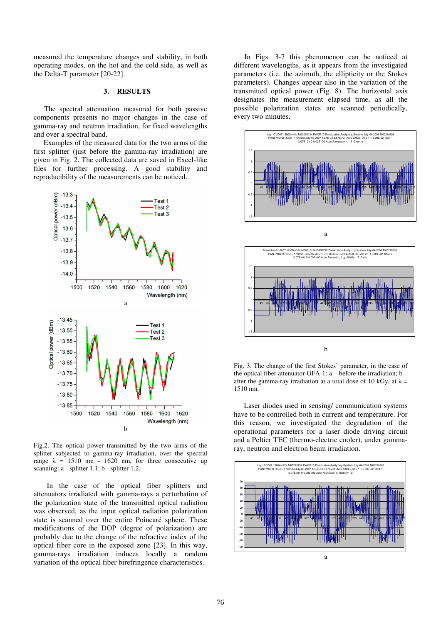measured the temperature changes and stability, in both operating modes, on the hot and the cold side, as well as the Delta-T parameter [20-22].

## **3. RESULTS**

The spectral attenuation measured for both passive components presents no major changes in the case of gamma-ray and neutron irradiation, for fixed wavelengths and over a spectral band.

Examples of the measured data for the two arms of the first splitter (just before the gamma-ray irradiation) are given in Fig. 2. The collected data are saved in Excel-like files for further processing. A good stability and reproducibility of the measurements can be noticed.



Fig.2. The optical power transmitted by the two arms of the splitter subjected to gamma-ray irradiation, over the spectral range  $\lambda = 1510$  nm - 1620 nm, for three consecutive up scanning: a - splitter 1.1; b - splitter 1.2.

In the case of the optical fiber splitters and attenuators irradiated with gamma-rays a perturbation of the polarization state of the transmitted optical radiation was observed, as the input optical radiation polarization state is scanned over the entire Poincaré sphere. These modifications of the DOP (degree of polarization) are probably due to the change of the refractive index of the optical fiber core in the exposed zone [23]. In this way, gamma-rays irradiation induces locally a random variation of the optical fiber birefringence characteristics.

In Figs. 3-7 this phenomenon can be noticed at different wavelengths, as it appears from the investigated parameters (i.e. the azimuth, the ellipticity or the Stokes parameters). Changes appear also in the variation of the transmitted optical power (Fig. 8). The horizontal axis designates the measurement elapsed time, as all the possible polarization states are scanned periodically, every two minutes.



a



Fig. 3. The change of the first Stokes' parameter, in the case of the optical fiber attenuator OFA-1:  $a - \text{before}$  the irradiation;  $b$ after the gamma-ray irradiation at a total dose of 10 kGy, at  $\lambda$  = 1510 nm.

Laser diodes used in sensing/ communication systems have to be controlled both in current and temperature. For this reason, we investigated the degradation of the operational parameters for a laser diode driving circuit and a Peltier TEC (thermo-electric cooler), under gammaray, neutron and electron beam irradiation.

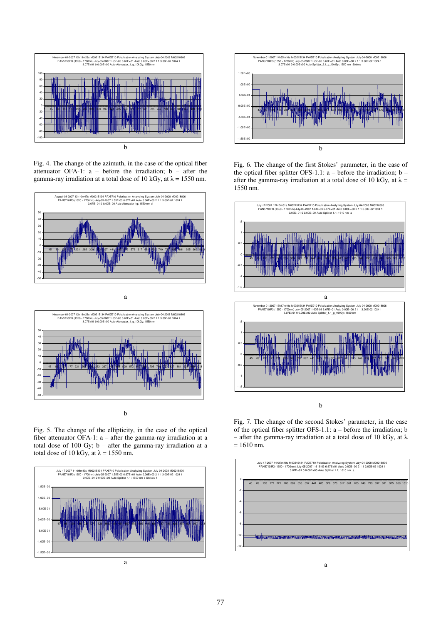

Fig. 4. The change of the azimuth, in the case of the optical fiber attenuator OFA-1: a – before the irradiation; b – after the gamma-ray irradiation at a total dose of 10 kGy, at  $\lambda = 1550$  nm.





Fig. 5. The change of the ellipticity, in the case of the optical fiber attenuator OFA-1: a – after the gamma-ray irradiation at a total dose of 100 Gy; b – after the gamma-ray irradiation at a total dose of 10 kGy, at  $\lambda = 1550$  nm.





Fig. 6. The change of the first Stokes' parameter, in the case of the optical fiber splitter OFS-1.1:  $a -$  before the irradiation;  $b$ after the gamma-ray irradiation at a total dose of 10 kGy, at  $\lambda =$ 1550 nm.



Fig. 7. The change of the second Stokes' parameter, in the case of the optical fiber splitter OFS-1.1: a – before the irradiation; b – after the gamma-ray irradiation at a total dose of 10 kGy, at  $\lambda$  $= 1610$  nm.

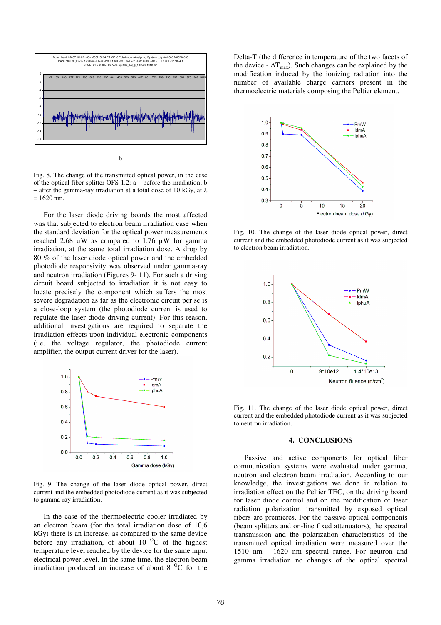

Fig. 8. The change of the transmitted optical power, in the case of the optical fiber splitter OFS-1.2: a – before the irradiation; b – after the gamma-ray irradiation at a total dose of 10 kGy, at  $\lambda$  $= 1620$  nm.

For the laser diode driving boards the most affected was that subjected to electron beam irradiation case when the standard deviation for the optical power measurements reached 2.68  $\mu$ W as compared to 1.76  $\mu$ W for gamma irradiation, at the same total irradiation dose. A drop by 80 % of the laser diode optical power and the embedded photodiode responsivity was observed under gamma-ray and neutron irradiation (Figures 9- 11). For such a driving circuit board subjected to irradiation it is not easy to locate precisely the component which suffers the most severe degradation as far as the electronic circuit per se is a close-loop system (the photodiode current is used to regulate the laser diode driving current). For this reason, additional investigations are required to separate the irradiation effects upon individual electronic components (i.e. the voltage regulator, the photodiode current amplifier, the output current driver for the laser).



Fig. 9. The change of the laser diode optical power, direct current and the embedded photodiode current as it was subjected to gamma-ray irradiation.

In the case of the thermoelectric cooler irradiated by an electron beam (for the total irradiation dose of 10,6 kGy) there is an increase, as compared to the same device before any irradiation, of about 10  $^{\circ}$ C of the highest temperature level reached by the device for the same input electrical power level. In the same time, the electron beam irradiation produced an increase of about  $8<sup>o</sup>C$  for the Delta-T (the difference in temperature of the two facets of the device -  $\Delta T_{\text{max}}$ ). Such changes can be explained by the modification induced by the ionizing radiation into the number of available charge carriers present in the thermoelectric materials composing the Peltier element.



Fig. 10. The change of the laser diode optical power, direct current and the embedded photodiode current as it was subjected to electron beam irradiation.



Fig. 11. The change of the laser diode optical power, direct current and the embedded photodiode current as it was subjected to neutron irradiation.

### **4. CONCLUSIONS**

Passive and active components for optical fiber communication systems were evaluated under gamma, neutron and electron beam irradiation. According to our knowledge, the investigations we done in relation to irradiation effect on the Peltier TEC, on the driving board for laser diode control and on the modification of laser radiation polarization transmitted by exposed optical fibers are premieres. For the passive optical components (beam splitters and on-line fixed attenuators), the spectral transmission and the polarization characteristics of the transmitted optical irradiation were measured over the 1510 nm - 1620 nm spectral range. For neutron and gamma irradiation no changes of the optical spectral